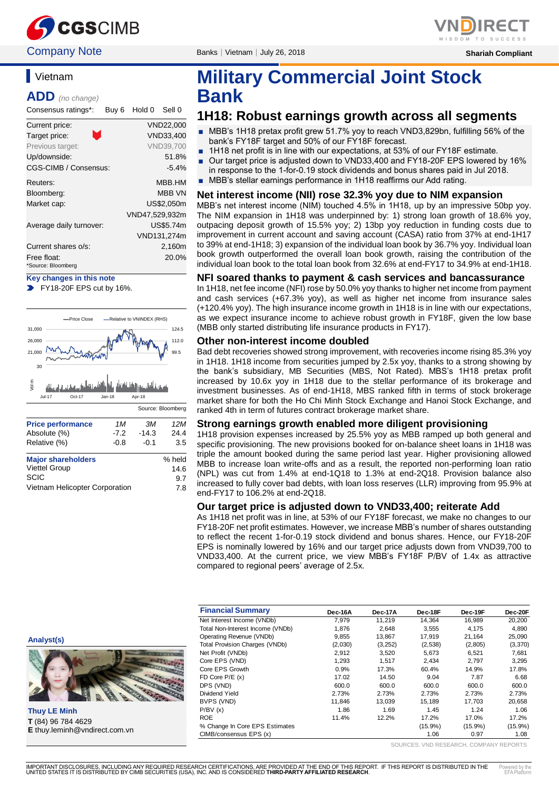

# **Vietnam**

**ADD** *(no change)*

Consensus ratings\*: Buy 6 Hold 0 Sell 0

| Current price:          | VND22,000        |
|-------------------------|------------------|
| M<br>Target price:      | VND33.400        |
| Previous target:        | <b>VND39.700</b> |
| Up/downside:            | 51.8%            |
| CGS-CIMB / Consensus:   | $-5.4%$          |
| Reuters:                | MBB.HM           |
| Bloomberg:              | <b>MBB VN</b>    |
| Market cap:             | US\$2.050m       |
|                         | VND47,529,932m   |
| Average daily turnover: | US\$5.74m        |
|                         | VND131,274m      |
| Current shares o/s:     | 2,160m           |
| Free float:             | 20.0%            |
|                         |                  |

\*Source: Bloomberg

**Key changes in this note**





| <b>Major shareholders</b>      | % held |
|--------------------------------|--------|
| <b>Viettel Group</b>           | 14.6   |
| <b>SCIC</b>                    | 9.7    |
| Vietnam Helicopter Corporation | 7.8    |

**Company Note** Banks | Vietnam | July 26, 2018 **Shariah Compliant** Shariah Compliant

# **Military Commercial Joint Stock Bank**

## **1H18: Robust earnings growth across all segments**

- MBB's 1H18 pretax profit grew 51.7% yoy to reach VND3,829bn, fulfilling 56% of the bank's FY18F target and 50% of our FY18F forecast.
- 1H18 net profit is in line with our expectations, at 53% of our FY18F estimate.
- Our target price is adjusted down to VND33,400 and FY18-20F EPS lowered by 16% in response to the 1-for-0.19 stock dividends and bonus shares paid in Jul 2018.
- MBB's stellar earnings performance in 1H18 reaffirms our Add rating.

#### **Net interest income (NII) rose 32.3% yoy due to NIM expansion**

MBB's net interest income (NIM) touched 4.5% in 1H18, up by an impressive 50bp yoy. The NIM expansion in 1H18 was underpinned by: 1) strong loan growth of 18.6% yoy, outpacing deposit growth of 15.5% yoy; 2) 13bp yoy reduction in funding costs due to improvement in current account and saving account (CASA) ratio from 37% at end-1H17 to 39% at end-1H18; 3) expansion of the individual loan book by 36.7% yoy. Individual loan book growth outperformed the overall loan book growth, raising the contribution of the individual loan book to the total loan book from 32.6% at end-FY17 to 34.9% at end-1H18.

#### **NFI soared thanks to payment & cash services and bancassurance**

In 1H18, net fee income (NFI) rose by 50.0% yoy thanks to higher net income from payment and cash services (+67.3% yoy), as well as higher net income from insurance sales (+120.4% yoy). The high insurance income growth in 1H18 is in line with our expectations, as we expect insurance income to achieve robust growth in FY18F, given the low base (MBB only started distributing life insurance products in FY17).

#### **Other non-interest income doubled**

Bad debt recoveries showed strong improvement, with recoveries income rising 85.3% yoy in 1H18. 1H18 income from securities jumped by 2.5x yoy, thanks to a strong showing by the bank's subsidiary, MB Securities (MBS, Not Rated). MBS's 1H18 pretax profit increased by 10.6x yoy in 1H18 due to the stellar performance of its brokerage and investment businesses. As of end-1H18, MBS ranked fifth in terms of stock brokerage market share for both the Ho Chi Minh Stock Exchange and Hanoi Stock Exchange, and ranked 4th in term of futures contract brokerage market share.

#### **Strong earnings growth enabled more diligent provisioning**

1H18 provision expenses increased by 25.5% yoy as MBB ramped up both general and specific provisioning. The new provisions booked for on-balance sheet loans in 1H18 was triple the amount booked during the same period last year. Higher provisioning allowed MBB to increase loan write-offs and as a result, the reported non-performing loan ratio (NPL) was cut from 1.4% at end-1Q18 to 1.3% at end-2Q18. Provision balance also increased to fully cover bad debts, with loan loss reserves (LLR) improving from 95.9% at end-FY17 to 106.2% at end-2Q18.

#### **Our target price is adjusted down to VND33,400; reiterate Add**

As 1H18 net profit was in line, at 53% of our FY18F forecast, we make no changes to our FY18-20F net profit estimates. However, we increase MBB's number of shares outstanding to reflect the recent 1-for-0.19 stock dividend and bonus shares. Hence, our FY18-20F EPS is nominally lowered by 16% and our target price adjusts down from VND39,700 to VND33,400. At the current price, we view MBB's FY18F P/BV of 1.4x as attractive compared to regional peers' average of 2.5x.

|                                      | <b>Financial Summary</b>              | Dec-16A | Dec-17A | Dec-18F    | Dec-19F    | Dec-20F    |
|--------------------------------------|---------------------------------------|---------|---------|------------|------------|------------|
|                                      | Net Interest Income (VNDb)            | 7,979   | 11,219  | 14,364     | 16,989     | 20,200     |
|                                      | Total Non-Interest Income (VNDb)      | 1.876   | 2,648   | 3,555      | 4,175      | 4,890      |
| Analyst(s)                           | Operating Revenue (VNDb)              | 9,855   | 13,867  | 17,919     | 21,164     | 25,090     |
|                                      | <b>Total Provision Charges (VNDb)</b> | (2,030) | (3,252) | (2, 538)   | (2,805)    | (3,370)    |
|                                      | Net Profit (VNDb)                     | 2,912   | 3,520   | 5,673      | 6,521      | 7,681      |
|                                      | Core EPS (VND)                        | 1,293   | 1,517   | 2,434      | 2,797      | 3,295      |
|                                      | Core EPS Growth                       | 0.9%    | 17.3%   | 60.4%      | 14.9%      | 17.8%      |
|                                      | $FD$ Core $P/E$ (x)                   | 17.02   | 14.50   | 9.04       | 7.87       | 6.68       |
|                                      | DPS (VND)                             | 600.0   | 600.0   | 600.0      | 600.0      | 600.0      |
|                                      | Dividend Yield                        | 2.73%   | 2.73%   | 2.73%      | 2.73%      | 2.73%      |
|                                      | BVPS (VND)                            | 11,846  | 13,039  | 15,189     | 17,703     | 20,658     |
| <b>Thuy LE Minh</b>                  | P/BV(x)                               | 1.86    | 1.69    | 1.45       | 1.24       | 1.06       |
| T (84) 96 784 4629                   | <b>ROE</b>                            | 11.4%   | 12.2%   | 17.2%      | 17.0%      | 17.2%      |
| <b>E</b> thuy.leminh@vndirect.com.vn | % Change In Core EPS Estimates        |         |         | $(15.9\%)$ | $(15.9\%)$ | $(15.9\%)$ |
|                                      | CIMB/consensus EPS (x)                |         |         | 1.06       | 0.97       | 1.08       |

SOURCES: VND RESEARCH, COMPANY REPORTS



**Thuy LE Minh T** (84) 96 784 4629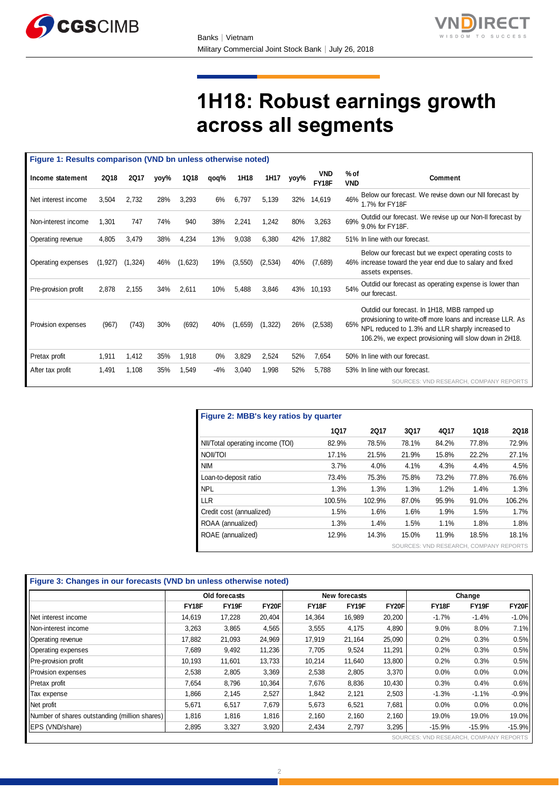



# **1H18: Robust earnings growth across all segments**

| Figure 1: Results comparison (VND bn unless otherwise noted) |             |             |      |             |       |          |          |      |                     |                                                                                                                                                                                                                               |  |
|--------------------------------------------------------------|-------------|-------------|------|-------------|-------|----------|----------|------|---------------------|-------------------------------------------------------------------------------------------------------------------------------------------------------------------------------------------------------------------------------|--|
| Income statement                                             | <b>2Q18</b> | <b>2Q17</b> | yoy% | <b>1Q18</b> | qoq%  | 1H18     | 1H17     | yoy% | <b>VND</b><br>FY18F | % of<br><b>Comment</b><br><b>VND</b>                                                                                                                                                                                          |  |
| Net interest income                                          | 3,504       | 2,732       | 28%  | 3,293       | 6%    | 6,797    | 5,139    | 32%  | 14,619              | Below our forecast. We revise down our NII forecast by<br>46%<br>1.7% for FY18F                                                                                                                                               |  |
| Non-interest income                                          | 1,301       | 747         | 74%  | 940         | 38%   | 2,241    | 1,242    | 80%  | 3,263               | Outdid our forecast. We revise up our Non-II forecast by<br>69%<br>9.0% for FY18F.                                                                                                                                            |  |
| Operating revenue                                            | 4,805       | 3,479       | 38%  | 4,234       | 13%   | 9,038    | 6,380    | 42%  | 17,882              | 51% In line with our forecast.                                                                                                                                                                                                |  |
| Operating expenses                                           | (1, 927)    | (1, 324)    | 46%  | (1,623)     | 19%   | (3, 550) | (2,534)  | 40%  | (7,689)             | Below our forecast but we expect operating costs to<br>46% increase toward the year end due to salary and fixed<br>assets expenses.                                                                                           |  |
| Pre-provision profit                                         | 2,878       | 2,155       | 34%  | 2,611       | 10%   | 5,488    | 3,846    | 43%  | 10,193              | Outdid our forecast as operating expense is lower than<br>54%<br>our forecast.                                                                                                                                                |  |
| Provision expenses                                           | (967)       | (743)       | 30%  | (692)       | 40%   | (1,659)  | (1, 322) | 26%  | (2,538)             | Outdid our forecast. In 1H18, MBB ramped up<br>provisioning to write-off more loans and increase LLR. As<br>65%<br>NPL reduced to 1.3% and LLR sharply increased to<br>106.2%, we expect provisioning will slow down in 2H18. |  |
| Pretax profit                                                | 1,911       | 1,412       | 35%  | 1,918       | $0\%$ | 3,829    | 2,524    | 52%  | 7,654               | 50% In line with our forecast.                                                                                                                                                                                                |  |
| After tax profit                                             | 1,491       | 1,108       | 35%  | 1,549       | $-4%$ | 3,040    | 1,998    | 52%  | 5,788               | 53% In line with our forecast.                                                                                                                                                                                                |  |
|                                                              |             |             |      |             |       |          |          |      |                     | SOURCES: VND RESEARCH, COMPANY REPORTS                                                                                                                                                                                        |  |

| Figure 2: MBB's key ratios by quarter |             |        |       |       |                                        |             |  |  |  |
|---------------------------------------|-------------|--------|-------|-------|----------------------------------------|-------------|--|--|--|
|                                       | <b>1Q17</b> | 2017   | 3Q17  | 4Q17  | <b>1Q18</b>                            | <b>2Q18</b> |  |  |  |
| NII/Total operating income (TOI)      | 82.9%       | 78.5%  | 78.1% | 84.2% | 77.8%                                  | 72.9%       |  |  |  |
| NOII/TOI                              | 17.1%       | 21.5%  | 21.9% | 15.8% | 22.2%                                  | 27.1%       |  |  |  |
| <b>NIM</b>                            | 3.7%        | 4.0%   | 4.1%  | 4.3%  | 4.4%                                   | 4.5%        |  |  |  |
| Loan-to-deposit ratio                 | 73.4%       | 75.3%  | 75.8% | 73.2% | 77.8%                                  | 76.6%       |  |  |  |
| <b>NPL</b>                            | 1.3%        | 1.3%   | 1.3%  | 1.2%  | 1.4%                                   | 1.3%        |  |  |  |
| <b>LLR</b>                            | 100.5%      | 102.9% | 87.0% | 95.9% | 91.0%                                  | 106.2%      |  |  |  |
| Credit cost (annualized)              | 1.5%        | 1.6%   | 1.6%  | 1.9%  | 1.5%                                   | 1.7%        |  |  |  |
| ROAA (annualized)                     | 1.3%        | 1.4%   | 1.5%  | 1.1%  | 1.8%                                   | 1.8%        |  |  |  |
| ROAE (annualized)                     | 12.9%       | 14.3%  | 15.0% | 11.9% | 18.5%                                  | 18.1%       |  |  |  |
|                                       |             |        |       |       | SOURCES: VND RESEARCH, COMPANY REPORTS |             |  |  |  |

|                                               | Figure 3: Changes in our forecasts (VND bn unless otherwise noted) |        |              |               |        |              |                                        |          |              |  |  |
|-----------------------------------------------|--------------------------------------------------------------------|--------|--------------|---------------|--------|--------------|----------------------------------------|----------|--------------|--|--|
|                                               | Old forecasts                                                      |        |              | New forecasts |        |              | Change                                 |          |              |  |  |
|                                               | FY18F                                                              | FY19F  | <b>FY20F</b> | FY18F         | FY19F  | <b>FY20F</b> | FY18F                                  | FY19F    | <b>FY20F</b> |  |  |
| Net interest income                           | 14,619                                                             | 17,228 | 20,404       | 14,364        | 16,989 | 20,200       | $-1.7%$                                | $-1.4%$  | $-1.0%$      |  |  |
| Non-interest income                           | 3,263                                                              | 3,865  | 4,565        | 3,555         | 4,175  | 4,890        | 9.0%                                   | 8.0%     | 7.1%         |  |  |
| Operating revenue                             | 17,882                                                             | 21,093 | 24,969       | 17,919        | 21,164 | 25,090       | 0.2%                                   | 0.3%     | 0.5%         |  |  |
| Operating expenses                            | 7,689                                                              | 9,492  | 11,236       | 7,705         | 9,524  | 11,291       | 0.2%                                   | 0.3%     | 0.5%         |  |  |
| Pre-provision profit                          | 10,193                                                             | 11,601 | 13,733       | 10,214        | 11,640 | 13,800       | 0.2%                                   | 0.3%     | 0.5%         |  |  |
| Provision expenses                            | 2,538                                                              | 2,805  | 3,369        | 2,538         | 2,805  | 3,370        | 0.0%                                   | 0.0%     | 0.0%         |  |  |
| Pretax profit                                 | 7,654                                                              | 8,796  | 10,364       | 7,676         | 8,836  | 10,430       | 0.3%                                   | 0.4%     | 0.6%         |  |  |
| Tax expense                                   | 1,866                                                              | 2,145  | 2,527        | 1,842         | 2,121  | 2,503        | $-1.3%$                                | $-1.1%$  | $-0.9%$      |  |  |
| Net profit                                    | 5,671                                                              | 6,517  | 7,679        | 5,673         | 6,521  | 7,681        | 0.0%                                   | 0.0%     | 0.0%         |  |  |
| Number of shares outstanding (million shares) | 1,816                                                              | 1,816  | 1,816        | 2,160         | 2,160  | 2,160        | 19.0%                                  | 19.0%    | 19.0%        |  |  |
| EPS (VND/share)                               | 2,895                                                              | 3,327  | 3,920        | 2,434         | 2,797  | 3,295        | $-15.9%$                               | $-15.9%$ | $-15.9%$     |  |  |
|                                               |                                                                    |        |              |               |        |              | SOURCES: VND RESEARCH, COMPANY REPORTS |          |              |  |  |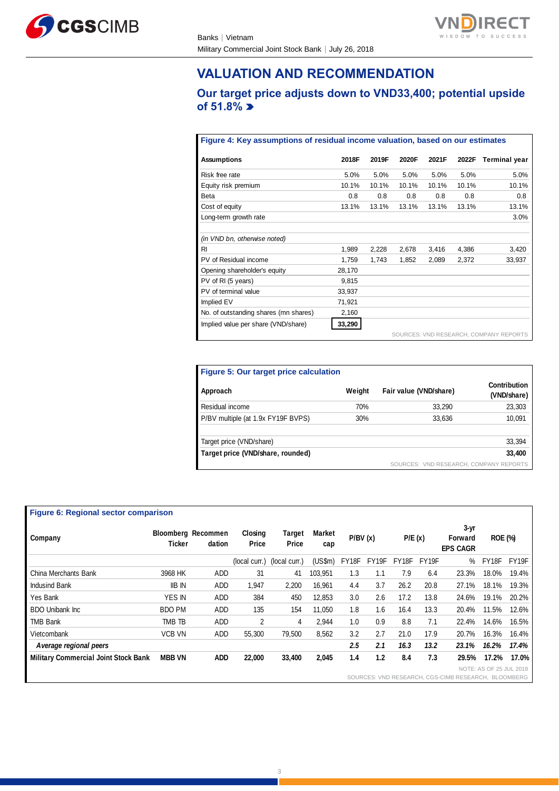



## **VALUATION AND RECOMMENDATION**

## **Our target price adjusts down to VND33,400; potential upside of 51.8%**

#### **Figure 4: Key assumptions of residual income valuation, based on our estimates**

| <b>Assumptions</b>                    | 2018F  | 2019F | 2020F | 2021F | 2022F | <b>Terminal year</b>                   |
|---------------------------------------|--------|-------|-------|-------|-------|----------------------------------------|
| Risk free rate                        | 5.0%   | 5.0%  | 5.0%  | 5.0%  | 5.0%  | 5.0%                                   |
| Equity risk premium                   | 10.1%  | 10.1% | 10.1% | 10.1% | 10.1% | 10.1%                                  |
| Beta                                  | 0.8    | 0.8   | 0.8   | 0.8   | 0.8   | 0.8                                    |
| Cost of equity                        | 13.1%  | 13.1% | 13.1% | 13.1% | 13.1% | 13.1%                                  |
| Long-term growth rate                 |        |       |       |       |       | 3.0%                                   |
|                                       |        |       |       |       |       |                                        |
| (in VND bn, otherwise noted)          |        |       |       |       |       |                                        |
| <b>RI</b>                             | 1,989  | 2,228 | 2,678 | 3,416 | 4,386 | 3,420                                  |
| PV of Residual income                 | 1.759  | 1.743 | 1.852 | 2.089 | 2.372 | 33.937                                 |
| Opening shareholder's equity          | 28,170 |       |       |       |       |                                        |
| PV of RI (5 years)                    | 9.815  |       |       |       |       |                                        |
| PV of terminal value                  | 33,937 |       |       |       |       |                                        |
| Implied EV                            | 71,921 |       |       |       |       |                                        |
| No. of outstanding shares (mn shares) | 2,160  |       |       |       |       |                                        |
| Implied value per share (VND/share)   | 33,290 |       |       |       |       |                                        |
|                                       |        |       |       |       |       | SOURCES: VND RESEARCH, COMPANY REPORTS |

| Figure 5: Our target price calculation |        |                                        |                             |
|----------------------------------------|--------|----------------------------------------|-----------------------------|
| Approach                               | Weight | Fair value (VND/share)                 | Contribution<br>(VND/share) |
| Residual income                        | 70%    | 33,290                                 | 23,303                      |
| P/BV multiple (at 1.9x FY19F BVPS)     | 30%    | 33,636                                 | 10,091                      |
| Target price (VND/share)               |        |                                        | 33,394                      |
| Target price (VND/share, rounded)      |        |                                        | 33,400                      |
|                                        |        | SOURCES: VND RESEARCH, COMPANY REPORTS |                             |

#### **Figure 6: Regional sector comparison**

| Company                                     | Ticker        | <b>Bloomberg Recommen</b><br>dation | Closing<br>Price | <b>Target</b><br>Price | Market        | P/BV(x) |       | P/E(x) |       | $3-yr$<br><b>Forward</b>                            | <b>ROE (%)</b>          |       |
|---------------------------------------------|---------------|-------------------------------------|------------------|------------------------|---------------|---------|-------|--------|-------|-----------------------------------------------------|-------------------------|-------|
|                                             |               |                                     |                  |                        | cap           |         |       |        |       | <b>EPS CAGR</b>                                     |                         |       |
|                                             |               |                                     | (local curr.)    | (local curr.)          | $(US\$ fm $)$ | FY18F   | FY19F | FY18F  | FY19F | ℅                                                   | FY18F                   | FY19F |
| China Merchants Bank                        | 3968 HK       | ADD                                 | 31               | 41                     | 103.951       | 1.3     | 1.1   | 7.9    | 6.4   | 23.3%                                               | 18.0%                   | 19.4% |
| <b>Indusind Bank</b>                        | <b>IIB IN</b> | ADD                                 | 1,947            | 2,200                  | 16.961        | 4.4     | 3.7   | 26.2   | 20.8  | 27.1%                                               | 18.1%                   | 19.3% |
| Yes Bank                                    | <b>YES IN</b> | <b>ADD</b>                          | 384              | 450                    | 12.853        | 3.0     | 2.6   | 17.2   | 13.8  | 24.6%                                               | 19.1%                   | 20.2% |
| <b>BDO Unibank Inc.</b>                     | BDO PM        | <b>ADD</b>                          | 135              | 154                    | 11.050        | 1.8     | 1.6   | 16.4   | 13.3  | 20.4%                                               | 11.5%                   | 12.6% |
| <b>TMB Bank</b>                             | TMB TB        | ADD                                 | 2                | 4                      | 2.944         | 1.0     | 0.9   | 8.8    | 7.1   | 22.4%                                               | 14.6%                   | 16.5% |
| Vietcombank                                 | <b>VCB VN</b> | <b>ADD</b>                          | 55,300           | 79.500                 | 8.562         | 3.2     | 2.7   | 21.0   | 17.9  | 20.7%                                               | 16.3%                   | 16.4% |
| A verage regional peers                     |               |                                     |                  |                        |               | 2.5     | 2.1   | 16.3   | 13.2  | 23.1%                                               | 16.2%                   | 17.4% |
| <b>Military Commercial Joint Stock Bank</b> | <b>MBB VN</b> | <b>ADD</b>                          | 22,000           | 33,400                 | 2,045         | 1.4     | 1.2   | 8.4    | 7.3   | 29.5%                                               | 17.2%                   | 17.0% |
|                                             |               |                                     |                  |                        |               |         |       |        |       |                                                     | NOTE: AS OF 25 JUL 2018 |       |
|                                             |               |                                     |                  |                        |               |         |       |        |       | SOURCES: VND RESEARCH, CGS-CIMB RESEARCH, BLOOMBERG |                         |       |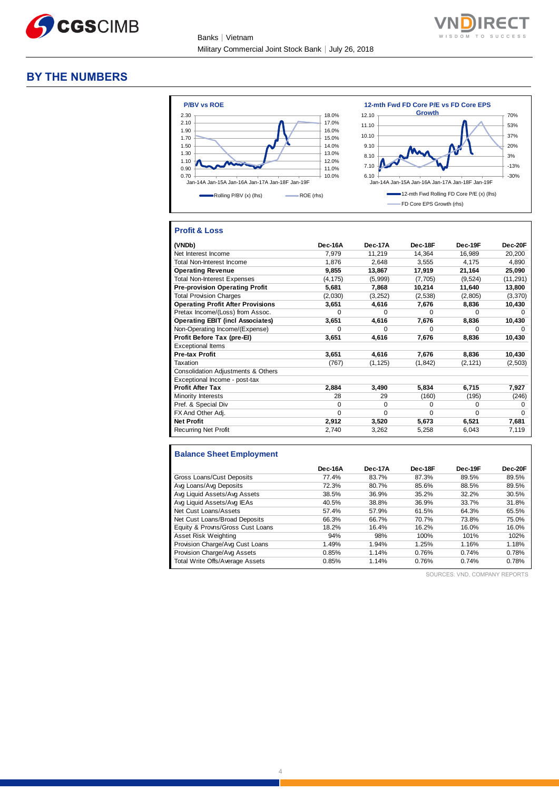

Banks│Vietnam Military Commercial Joint Stock Bank│July 26, 2018



#### **BY THE NUMBERS**



#### **Profit & Loss**

| (VNDb)                                   | Dec-16A  | Dec-17A  | Dec-18F  | Dec-19F  | Dec-20F   |
|------------------------------------------|----------|----------|----------|----------|-----------|
| Net Interest Income                      | 7,979    | 11,219   | 14,364   | 16,989   | 20,200    |
| <b>Total Non-Interest Income</b>         | 1.876    | 2.648    | 3.555    | 4.175    | 4,890     |
| <b>Operating Revenue</b>                 | 9,855    | 13,867   | 17,919   | 21,164   | 25,090    |
| <b>Total Non-Interest Expenses</b>       | (4, 175) | (5,999)  | (7,705)  | (9,524)  | (11, 291) |
| <b>Pre-provision Operating Profit</b>    | 5,681    | 7,868    | 10,214   | 11,640   | 13,800    |
| <b>Total Provision Charges</b>           | (2,030)  | (3,252)  | (2,538)  | (2,805)  | (3,370)   |
| <b>Operating Profit After Provisions</b> | 3,651    | 4,616    | 7,676    | 8,836    | 10,430    |
| Pretax Income/(Loss) from Assoc.         | $\Omega$ | $\Omega$ | $\Omega$ | 0        | $\Omega$  |
| <b>Operating EBIT (incl Associates)</b>  | 3,651    | 4,616    | 7,676    | 8,836    | 10,430    |
| Non-Operating Income/(Expense)           | $\Omega$ | $\Omega$ | $\Omega$ | O        | O         |
| Profit Before Tax (pre-El)               | 3,651    | 4,616    | 7,676    | 8,836    | 10,430    |
| <b>Exceptional Items</b>                 |          |          |          |          |           |
| <b>Pre-tax Profit</b>                    | 3,651    | 4,616    | 7,676    | 8,836    | 10,430    |
| Taxation                                 | (767)    | (1, 125) | (1, 842) | (2, 121) | (2,503)   |
| Consolidation Adjustments & Others       |          |          |          |          |           |
| Exceptional Income - post-tax            |          |          |          |          |           |
| <b>Profit After Tax</b>                  | 2,884    | 3,490    | 5,834    | 6,715    | 7,927     |
| Minority Interests                       | 28       | 29       | (160)    | (195)    | (246)     |
| Pref. & Special Div                      | $\Omega$ | $\Omega$ | 0        | 0        | 0         |
| FX And Other Adj.                        | $\Omega$ | $\Omega$ | $\Omega$ | 0        | $\Omega$  |
| <b>Net Profit</b>                        | 2,912    | 3,520    | 5,673    | 6,521    | 7,681     |
| <b>Recurring Net Profit</b>              | 2,740    | 3,262    | 5,258    | 6,043    | 7,119     |

### **Balance Sheet Employment**

|                                  | Dec-16A | Dec-17A | Dec-18F | Dec-19F | Dec-20F |
|----------------------------------|---------|---------|---------|---------|---------|
| Gross Loans/Cust Deposits        | 77.4%   | 83.7%   | 87.3%   | 89.5%   | 89.5%   |
| Avg Loans/Avg Deposits           | 72.3%   | 80.7%   | 85.6%   | 88.5%   | 89.5%   |
| Avg Liquid Assets/Avg Assets     | 38.5%   | 36.9%   | 35.2%   | 32.2%   | 30.5%   |
| Avg Liquid Assets/Avg IEAs       | 40.5%   | 38.8%   | 36.9%   | 33.7%   | 31.8%   |
| Net Cust Loans/Assets            | 57.4%   | 57.9%   | 61.5%   | 64.3%   | 65.5%   |
| Net Cust Loans/Broad Deposits    | 66.3%   | 66.7%   | 70.7%   | 73.8%   | 75.0%   |
| Equity & Provns/Gross Cust Loans | 18.2%   | 16.4%   | 16.2%   | 16.0%   | 16.0%   |
| Asset Risk Weighting             | 94%     | 98%     | 100%    | 101%    | 102%    |
| Provision Charge/Avg Cust Loans  | 1.49%   | 1.94%   | 1.25%   | 1.16%   | 1.18%   |
| Provision Charge/Avg Assets      | 0.85%   | 1.14%   | 0.76%   | 0.74%   | 0.78%   |
| Total Write Offs/Average Assets  | 0.85%   | 1.14%   | 0.76%   | 0.74%   | 0.78%   |

SOURCES: VND, COMPANY REPORTS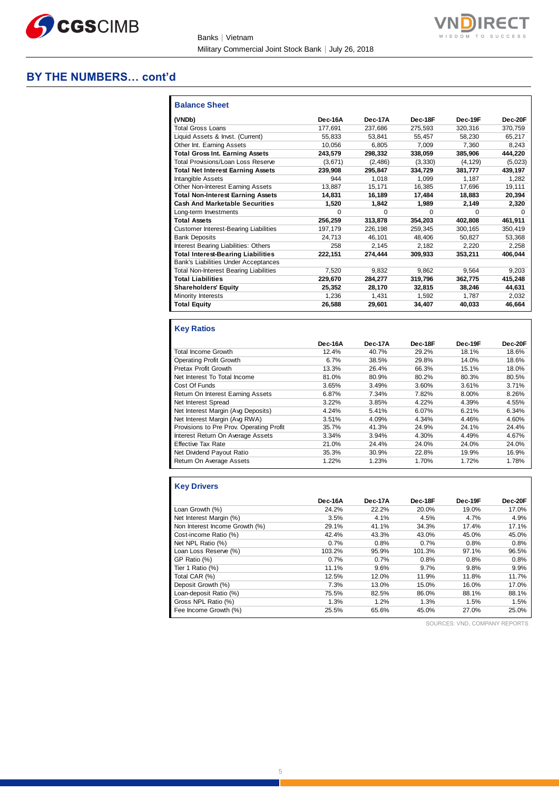

Banks│Vietnam Military Commercial Joint Stock Bank│July 26, 2018

#### **BY THE NUMBERS… cont'd**

| <b>Balance Sheet</b>                          |          |              |              |          |              |
|-----------------------------------------------|----------|--------------|--------------|----------|--------------|
| (VNDb)                                        | Dec-16A  | Dec-17A      | Dec-18F      | Dec-19F  | Dec-20F      |
| <b>Total Gross Loans</b>                      | 177.691  | 237.686      | 275.593      | 320.316  | 370.759      |
| Liquid Assets & Invst. (Current)              | 55.833   | 53.841       | 55.457       | 58,230   | 65,217       |
| Other Int. Earning Assets                     | 10.056   | 6.805        | 7.009        | 7.360    | 8.243        |
| <b>Total Gross Int. Earning Assets</b>        | 243,579  | 298,332      | 338,059      | 385,906  | 444,220      |
| Total Provisions/Loan Loss Reserve            | (3,671)  | (2,486)      | (3,330)      | (4, 129) | (5,023)      |
| <b>Total Net Interest Earning Assets</b>      | 239.908  | 295,847      | 334.729      | 381.777  | 439,197      |
| Intangible Assets                             | 944      | 1.018        | 1.099        | 1.187    | 1,282        |
| Other Non-Interest Earning Assets             | 13.887   | 15,171       | 16.385       | 17.696   | 19,111       |
| <b>Total Non-Interest Earning Assets</b>      | 14.831   | 16,189       | 17.484       | 18.883   | 20,394       |
| <b>Cash And Marketable Securities</b>         | 1,520    | 1.842        | 1,989        | 2,149    | 2,320        |
| Long-term Investments                         | $\Omega$ | <sup>0</sup> | <sup>0</sup> | $\Omega$ | <sup>0</sup> |
| <b>Total Assets</b>                           | 256,259  | 313,878      | 354,203      | 402.808  | 461,911      |
| <b>Customer Interest-Bearing Liabilities</b>  | 197,179  | 226,198      | 259,345      | 300,165  | 350,419      |
| <b>Bank Deposits</b>                          | 24.713   | 46,101       | 48.406       | 50.827   | 53,368       |
| Interest Bearing Liabilities: Others          | 258      | 2,145        | 2,182        | 2,220    | 2,258        |
| <b>Total Interest-Bearing Liabilities</b>     | 222,151  | 274.444      | 309.933      | 353,211  | 406.044      |
| <b>Bank's Liabilities Under Acceptances</b>   |          |              |              |          |              |
| <b>Total Non-Interest Bearing Liabilities</b> | 7.520    | 9.832        | 9.862        | 9,564    | 9,203        |
| <b>Total Liabilities</b>                      | 229,670  | 284,277      | 319,796      | 362,775  | 415,248      |
| <b>Shareholders' Equity</b>                   | 25.352   | 28.170       | 32.815       | 38.246   | 44.631       |
| <b>Minority Interests</b>                     | 1.236    | 1.431        | 1.592        | 1.787    | 2.032        |
| <b>Total Equity</b>                           | 26,588   | 29,601       | 34,407       | 40.033   | 46,664       |

#### **Key Ratios**

|                                          | Dec-16A | Dec-17A | Dec-18F | Dec-19F | Dec-20F |
|------------------------------------------|---------|---------|---------|---------|---------|
| Total Income Growth                      | 12.4%   | 40.7%   | 29.2%   | 18.1%   | 18.6%   |
| Operating Profit Growth                  | 6.7%    | 38.5%   | 29.8%   | 14.0%   | 18.6%   |
| Pretax Profit Growth                     | 13.3%   | 26.4%   | 66.3%   | 15.1%   | 18.0%   |
| Net Interest To Total Income             | 81.0%   | 80.9%   | 80.2%   | 80.3%   | 80.5%   |
| Cost Of Funds                            | 3.65%   | 3.49%   | 3.60%   | 3.61%   | 3.71%   |
| Return On Interest Earning Assets        | 6.87%   | 7.34%   | 7.82%   | 8.00%   | 8.26%   |
| Net Interest Spread                      | 3.22%   | 3.85%   | 4.22%   | 4.39%   | 4.55%   |
| Net Interest Margin (Avg Deposits)       | 4.24%   | 5.41%   | 6.07%   | 6.21%   | 6.34%   |
| Net Interest Margin (Avg RWA)            | 3.51%   | 4.09%   | 4.34%   | 4.46%   | 4.60%   |
| Provisions to Pre Prov. Operating Profit | 35.7%   | 41.3%   | 24.9%   | 24.1%   | 24.4%   |
| Interest Return On Average Assets        | 3.34%   | 3.94%   | 4.30%   | 4.49%   | 4.67%   |
| <b>Effective Tax Rate</b>                | 21.0%   | 24.4%   | 24.0%   | 24.0%   | 24.0%   |
| Net Dividend Payout Ratio                | 35.3%   | 30.9%   | 22.8%   | 19.9%   | 16.9%   |
| Return On Average Assets                 | 1.22%   | 1.23%   | 1.70%   | 1.72%   | 1.78%   |

#### **Key Drivers**

|                                | Dec-16A | Dec-17A | Dec-18F | Dec-19F | Dec-20F |
|--------------------------------|---------|---------|---------|---------|---------|
| Loan Growth (%)                | 24.2%   | 22.2%   | 20.0%   | 19.0%   | 17.0%   |
| Net Interest Margin (%)        | 3.5%    | 4.1%    | 4.5%    | 4.7%    | 4.9%    |
| Non Interest Income Growth (%) | 29.1%   | 41.1%   | 34.3%   | 17.4%   | 17.1%   |
| Cost-income Ratio (%)          | 42.4%   | 43.3%   | 43.0%   | 45.0%   | 45.0%   |
| Net NPL Ratio (%)              | 0.7%    | 0.8%    | 0.7%    | 0.8%    | 0.8%    |
| Loan Loss Reserve (%)          | 103.2%  | 95.9%   | 101.3%  | 97.1%   | 96.5%   |
| GP Ratio (%)                   | 0.7%    | 0.7%    | 0.8%    | 0.8%    | 0.8%    |
| Tier 1 Ratio (%)               | 11.1%   | 9.6%    | 9.7%    | 9.8%    | 9.9%    |
| Total CAR (%)                  | 12.5%   | 12.0%   | 11.9%   | 11.8%   | 11.7%   |
| Deposit Growth (%)             | 7.3%    | 13.0%   | 15.0%   | 16.0%   | 17.0%   |
| Loan-deposit Ratio (%)         | 75.5%   | 82.5%   | 86.0%   | 88.1%   | 88.1%   |
| Gross NPL Ratio (%)            | 1.3%    | 1.2%    | 1.3%    | 1.5%    | 1.5%    |
| Fee Income Growth (%)          | 25.5%   | 65.6%   | 45.0%   | 27.0%   | 25.0%   |

SOURCES: VND, COMPANY REPORTS

**VN** 

n

**DIRECT**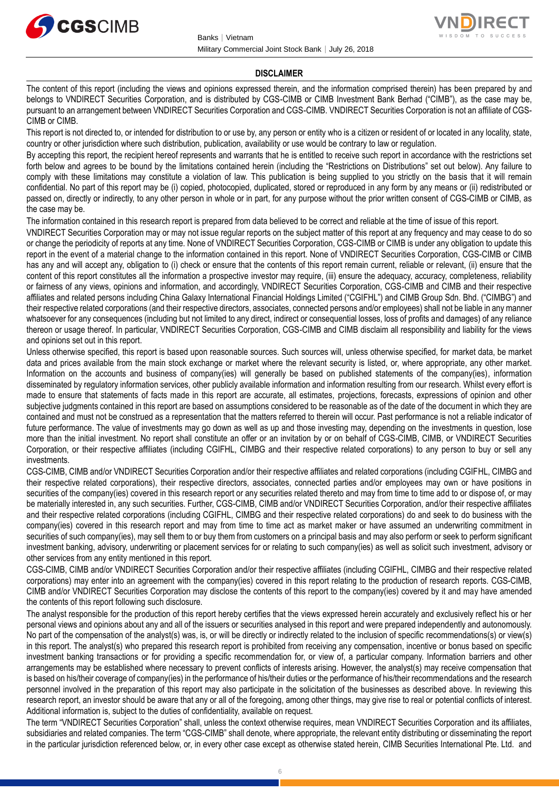



#### **DISCLAIMER**

The content of this report (including the views and opinions expressed therein, and the information comprised therein) has been prepared by and belongs to VNDIRECT Securities Corporation, and is distributed by CGS-CIMB or CIMB Investment Bank Berhad ("CIMB"), as the case may be, pursuant to an arrangement between VNDIRECT Securities Corporation and CGS-CIMB. VNDIRECT Securities Corporation is not an affiliate of CGS-CIMB or CIMB.

This report is not directed to, or intended for distribution to or use by, any person or entity who is a citizen or resident of or located in any locality, state, country or other jurisdiction where such distribution, publication, availability or use would be contrary to law or regulation.

By accepting this report, the recipient hereof represents and warrants that he is entitled to receive such report in accordance with the restrictions set forth below and agrees to be bound by the limitations contained herein (including the "Restrictions on Distributions" set out below). Any failure to comply with these limitations may constitute a violation of law. This publication is being supplied to you strictly on the basis that it will remain confidential. No part of this report may be (i) copied, photocopied, duplicated, stored or reproduced in any form by any means or (ii) redistributed or passed on, directly or indirectly, to any other person in whole or in part, for any purpose without the prior written consent of CGS-CIMB or CIMB, as the case may be.

The information contained in this research report is prepared from data believed to be correct and reliable at the time of issue of this report.

VNDIRECT Securities Corporation may or may not issue regular reports on the subject matter of this report at any frequency and may cease to do so or change the periodicity of reports at any time. None of VNDIRECT Securities Corporation, CGS-CIMB or CIMB is under any obligation to update this report in the event of a material change to the information contained in this report. None of VNDIRECT Securities Corporation, CGS-CIMB or CIMB has any and will accept any, obligation to (i) check or ensure that the contents of this report remain current, reliable or relevant, (ii) ensure that the content of this report constitutes all the information a prospective investor may require, (iii) ensure the adequacy, accuracy, completeness, reliability or fairness of any views, opinions and information, and accordingly, VNDIRECT Securities Corporation, CGS-CIMB and CIMB and their respective affiliates and related persons including China Galaxy International Financial Holdings Limited ("CGIFHL") and CIMB Group Sdn. Bhd. ("CIMBG") and their respective related corporations (and their respective directors, associates, connected persons and/or employees) shall not be liable in any manner whatsoever for any consequences (including but not limited to any direct, indirect or consequential losses, loss of profits and damages) of any reliance thereon or usage thereof. In particular, VNDIRECT Securities Corporation, CGS-CIMB and CIMB disclaim all responsibility and liability for the views and opinions set out in this report.

Unless otherwise specified, this report is based upon reasonable sources. Such sources will, unless otherwise specified, for market data, be market data and prices available from the main stock exchange or market where the relevant security is listed, or, where appropriate, any other market. Information on the accounts and business of company(ies) will generally be based on published statements of the company(ies), information disseminated by regulatory information services, other publicly available information and information resulting from our research. Whilst every effort is made to ensure that statements of facts made in this report are accurate, all estimates, projections, forecasts, expressions of opinion and other subjective judgments contained in this report are based on assumptions considered to be reasonable as of the date of the document in which they are contained and must not be construed as a representation that the matters referred to therein will occur. Past performance is not a reliable indicator of future performance. The value of investments may go down as well as up and those investing may, depending on the investments in question, lose more than the initial investment. No report shall constitute an offer or an invitation by or on behalf of CGS-CIMB, CIMB, or VNDIRECT Securities Corporation, or their respective affiliates (including CGIFHL, CIMBG and their respective related corporations) to any person to buy or sell any investments.

CGS-CIMB, CIMB and/or VNDIRECT Securities Corporation and/or their respective affiliates and related corporations (including CGIFHL, CIMBG and their respective related corporations), their respective directors, associates, connected parties and/or employees may own or have positions in securities of the company(ies) covered in this research report or any securities related thereto and may from time to time add to or dispose of, or may be materially interested in, any such securities. Further, CGS-CIMB, CIMB and/or VNDIRECT Securities Corporation, and/or their respective affiliates and their respective related corporations (including CGIFHL, CIMBG and their respective related corporations) do and seek to do business with the company(ies) covered in this research report and may from time to time act as market maker or have assumed an underwriting commitment in securities of such company(ies), may sell them to or buy them from customers on a principal basis and may also perform or seek to perform significant investment banking, advisory, underwriting or placement services for or relating to such company(ies) as well as solicit such investment, advisory or other services from any entity mentioned in this report.

CGS-CIMB, CIMB and/or VNDIRECT Securities Corporation and/or their respective affiliates (including CGIFHL, CIMBG and their respective related corporations) may enter into an agreement with the company(ies) covered in this report relating to the production of research reports. CGS-CIMB, CIMB and/or VNDIRECT Securities Corporation may disclose the contents of this report to the company(ies) covered by it and may have amended the contents of this report following such disclosure.

The analyst responsible for the production of this report hereby certifies that the views expressed herein accurately and exclusively reflect his or her personal views and opinions about any and all of the issuers or securities analysed in this report and were prepared independently and autonomously. No part of the compensation of the analyst(s) was, is, or will be directly or indirectly related to the inclusion of specific recommendations(s) or view(s) in this report. The analyst(s) who prepared this research report is prohibited from receiving any compensation, incentive or bonus based on specific investment banking transactions or for providing a specific recommendation for, or view of, a particular company. Information barriers and other arrangements may be established where necessary to prevent conflicts of interests arising. However, the analyst(s) may receive compensation that is based on his/their coverage of company(ies) in the performance of his/their duties or the performance of his/their recommendations and the research personnel involved in the preparation of this report may also participate in the solicitation of the businesses as described above. In reviewing this research report, an investor should be aware that any or all of the foregoing, among other things, may give rise to real or potential conflicts of interest. Additional information is, subject to the duties of confidentiality, available on request.

The term "VNDIRECT Securities Corporation" shall, unless the context otherwise requires, mean VNDIRECT Securities Corporation and its affiliates, subsidiaries and related companies. The term "CGS-CIMB" shall denote, where appropriate, the relevant entity distributing or disseminating the report in the particular jurisdiction referenced below, or, in every other case except as otherwise stated herein, CIMB Securities International Pte. Ltd. and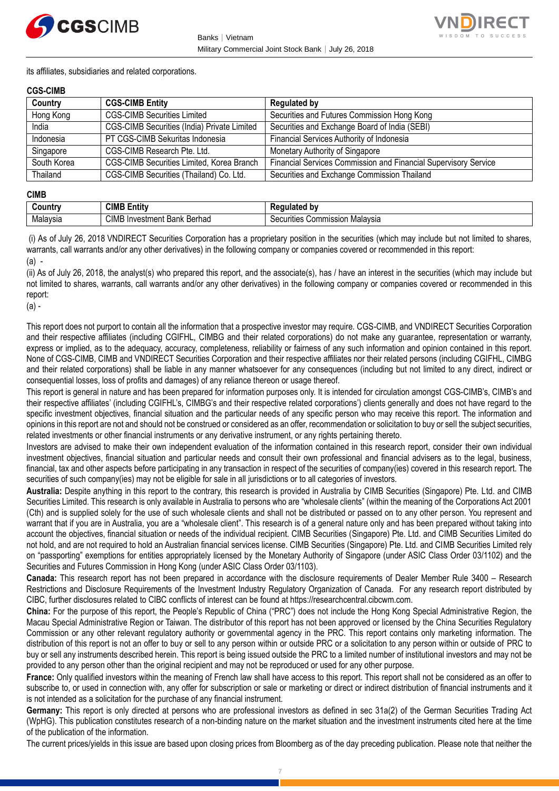



its affiliates, subsidiaries and related corporations.

#### **CGS-CIMB**

| Country     | <b>CGS-CIMB Entity</b>                      | <b>Regulated by</b>                                             |
|-------------|---------------------------------------------|-----------------------------------------------------------------|
| Hong Kong   | <b>CGS-CIMB Securities Limited</b>          | Securities and Futures Commission Hong Kong                     |
| India       | CGS-CIMB Securities (India) Private Limited | Securities and Exchange Board of India (SEBI)                   |
| Indonesia   | PT CGS-CIMB Sekuritas Indonesia             | Financial Services Authority of Indonesia                       |
| Singapore   | CGS-CIMB Research Pte. Ltd.                 | Monetary Authority of Singapore                                 |
| South Korea | CGS-CIMB Securities Limited, Korea Branch   | Financial Services Commission and Financial Supervisory Service |
| Thailand    | CGS-CIMB Securities (Thailand) Co. Ltd.     | Securities and Exchange Commission Thailand                     |

#### **CIMB**

| untry    | <b>CIMB</b><br>.<br>Entity                    | ated bv                                                                           |
|----------|-----------------------------------------------|-----------------------------------------------------------------------------------|
| Malaysia | <b>CIMB</b><br>∶Berhad<br>Bank<br>√Investment | ;ommission<br>. Malavsır<br>ïties<br>ឹ<br><u>ж.</u><br>\ ,\ ,\ \ \ \ \<br>וסוכי ו |

(i) As of July 26, 2018 VNDIRECT Securities Corporation has a proprietary position in the securities (which may include but not limited to shares, warrants, call warrants and/or any other derivatives) in the following company or companies covered or recommended in this report: (a) -

(ii) As of July 26, 2018, the analyst(s) who prepared this report, and the associate(s), has / have an interest in the securities (which may include but not limited to shares, warrants, call warrants and/or any other derivatives) in the following company or companies covered or recommended in this report:

(a) -

This report does not purport to contain all the information that a prospective investor may require. CGS-CIMB, and VNDIRECT Securities Corporation and their respective affiliates (including CGIFHL, CIMBG and their related corporations) do not make any guarantee, representation or warranty, express or implied, as to the adequacy, accuracy, completeness, reliability or fairness of any such information and opinion contained in this report. None of CGS-CIMB, CIMB and VNDIRECT Securities Corporation and their respective affiliates nor their related persons (including CGIFHL, CIMBG and their related corporations) shall be liable in any manner whatsoever for any consequences (including but not limited to any direct, indirect or consequential losses, loss of profits and damages) of any reliance thereon or usage thereof.

This report is general in nature and has been prepared for information purposes only. It is intended for circulation amongst CGS-CIMB's, CIMB's and their respective affiliates' (including CGIFHL's, CIMBG's and their respective related corporations') clients generally and does not have regard to the specific investment objectives, financial situation and the particular needs of any specific person who may receive this report. The information and opinions in this report are not and should not be construed or considered as an offer, recommendation or solicitation to buy or sell the subject securities, related investments or other financial instruments or any derivative instrument, or any rights pertaining thereto.

Investors are advised to make their own independent evaluation of the information contained in this research report, consider their own individual investment objectives, financial situation and particular needs and consult their own professional and financial advisers as to the legal, business, financial, tax and other aspects before participating in any transaction in respect of the securities of company(ies) covered in this research report. The securities of such company(ies) may not be eligible for sale in all jurisdictions or to all categories of investors.

**Australia:** Despite anything in this report to the contrary, this research is provided in Australia by CIMB Securities (Singapore) Pte. Ltd. and CIMB Securities Limited. This research is only available in Australia to persons who are "wholesale clients" (within the meaning of the Corporations Act 2001 (Cth) and is supplied solely for the use of such wholesale clients and shall not be distributed or passed on to any other person. You represent and warrant that if you are in Australia, you are a "wholesale client". This research is of a general nature only and has been prepared without taking into account the objectives, financial situation or needs of the individual recipient. CIMB Securities (Singapore) Pte. Ltd. and CIMB Securities Limited do not hold, and are not required to hold an Australian financial services license. CIMB Securities (Singapore) Pte. Ltd. and CIMB Securities Limited rely on "passporting" exemptions for entities appropriately licensed by the Monetary Authority of Singapore (under ASIC Class Order 03/1102) and the Securities and Futures Commission in Hong Kong (under ASIC Class Order 03/1103).

**Canada:** This research report has not been prepared in accordance with the disclosure requirements of Dealer Member Rule 3400 – Research Restrictions and Disclosure Requirements of the Investment Industry Regulatory Organization of Canada. For any research report distributed by CIBC, further disclosures related to CIBC conflicts of interest can be found at https://researchcentral.cibcwm.com.

**China:** For the purpose of this report, the People's Republic of China ("PRC") does not include the Hong Kong Special Administrative Region, the Macau Special Administrative Region or Taiwan. The distributor of this report has not been approved or licensed by the China Securities Regulatory Commission or any other relevant regulatory authority or governmental agency in the PRC. This report contains only marketing information. The distribution of this report is not an offer to buy or sell to any person within or outside PRC or a solicitation to any person within or outside of PRC to buy or sell any instruments described herein. This report is being issued outside the PRC to a limited number of institutional investors and may not be provided to any person other than the original recipient and may not be reproduced or used for any other purpose.

**France:** Only qualified investors within the meaning of French law shall have access to this report. This report shall not be considered as an offer to subscribe to, or used in connection with, any offer for subscription or sale or marketing or direct or indirect distribution of financial instruments and it is not intended as a solicitation for the purchase of any financial instrument.

**Germany:** This report is only directed at persons who are professional investors as defined in sec 31a(2) of the German Securities Trading Act (WpHG). This publication constitutes research of a non-binding nature on the market situation and the investment instruments cited here at the time of the publication of the information.

The current prices/yields in this issue are based upon closing prices from Bloomberg as of the day preceding publication. Please note that neither the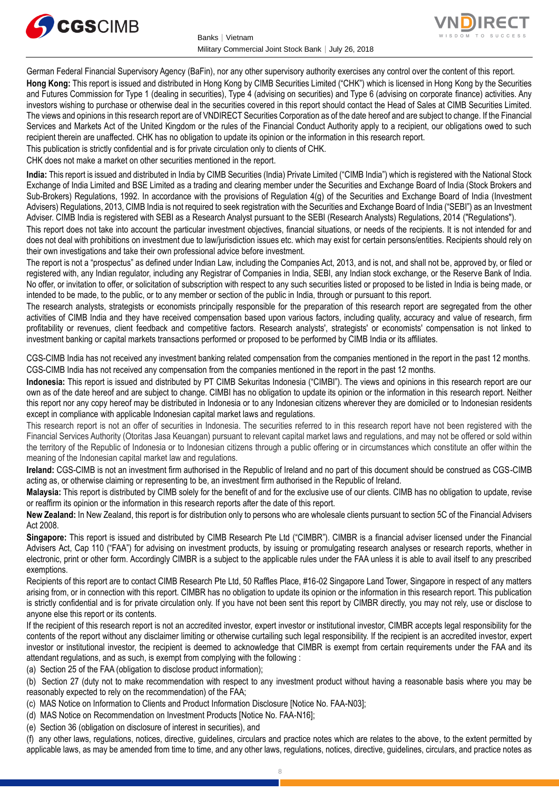



German Federal Financial Supervisory Agency (BaFin), nor any other supervisory authority exercises any control over the content of this report. **Hong Kong:** This report is issued and distributed in Hong Kong by CIMB Securities Limited ("CHK") which is licensed in Hong Kong by the Securities and Futures Commission for Type 1 (dealing in securities), Type 4 (advising on securities) and Type 6 (advising on corporate finance) activities. Any investors wishing to purchase or otherwise deal in the securities covered in this report should contact the Head of Sales at CIMB Securities Limited. The views and opinions in this research report are of VNDIRECT Securities Corporation as of the date hereof and are subject to change. If the Financial Services and Markets Act of the United Kingdom or the rules of the Financial Conduct Authority apply to a recipient, our obligations owed to such recipient therein are unaffected. CHK has no obligation to update its opinion or the information in this research report.

This publication is strictly confidential and is for private circulation only to clients of CHK.

CHK does not make a market on other securities mentioned in the report.

**India:** This report is issued and distributed in India by CIMB Securities (India) Private Limited ("CIMB India") which is registered with the National Stock Exchange of India Limited and BSE Limited as a trading and clearing member under the Securities and Exchange Board of India (Stock Brokers and Sub-Brokers) Regulations, 1992. In accordance with the provisions of Regulation 4(g) of the Securities and Exchange Board of India (Investment Advisers) Regulations, 2013, CIMB India is not required to seek registration with the Securities and Exchange Board of India ("SEBI") as an Investment Adviser. CIMB India is registered with SEBI as a Research Analyst pursuant to the SEBI (Research Analysts) Regulations, 2014 ("Regulations").

This report does not take into account the particular investment objectives, financial situations, or needs of the recipients. It is not intended for and does not deal with prohibitions on investment due to law/jurisdiction issues etc. which may exist for certain persons/entities. Recipients should rely on their own investigations and take their own professional advice before investment.

The report is not a "prospectus" as defined under Indian Law, including the Companies Act, 2013, and is not, and shall not be, approved by, or filed or registered with, any Indian regulator, including any Registrar of Companies in India, SEBI, any Indian stock exchange, or the Reserve Bank of India. No offer, or invitation to offer, or solicitation of subscription with respect to any such securities listed or proposed to be listed in India is being made, or intended to be made, to the public, or to any member or section of the public in India, through or pursuant to this report.

The research analysts, strategists or economists principally responsible for the preparation of this research report are segregated from the other activities of CIMB India and they have received compensation based upon various factors, including quality, accuracy and value of research, firm profitability or revenues, client feedback and competitive factors. Research analysts', strategists' or economists' compensation is not linked to investment banking or capital markets transactions performed or proposed to be performed by CIMB India or its affiliates.

CGS-CIMB India has not received any investment banking related compensation from the companies mentioned in the report in the past 12 months. CGS-CIMB India has not received any compensation from the companies mentioned in the report in the past 12 months.

**Indonesia:** This report is issued and distributed by PT CIMB Sekuritas Indonesia ("CIMBI"). The views and opinions in this research report are our own as of the date hereof and are subject to change. CIMBI has no obligation to update its opinion or the information in this research report. Neither this report nor any copy hereof may be distributed in Indonesia or to any Indonesian citizens wherever they are domiciled or to Indonesian residents except in compliance with applicable Indonesian capital market laws and regulations.

This research report is not an offer of securities in Indonesia. The securities referred to in this research report have not been registered with the Financial Services Authority (Otoritas Jasa Keuangan) pursuant to relevant capital market laws and regulations, and may not be offered or sold within the territory of the Republic of Indonesia or to Indonesian citizens through a public offering or in circumstances which constitute an offer within the meaning of the Indonesian capital market law and regulations.

**Ireland:** CGS-CIMB is not an investment firm authorised in the Republic of Ireland and no part of this document should be construed as CGS-CIMB acting as, or otherwise claiming or representing to be, an investment firm authorised in the Republic of Ireland.

**Malaysia:** This report is distributed by CIMB solely for the benefit of and for the exclusive use of our clients. CIMB has no obligation to update, revise or reaffirm its opinion or the information in this research reports after the date of this report.

**New Zealand:** In New Zealand, this report is for distribution only to persons who are wholesale clients pursuant to section 5C of the Financial Advisers Act 2008.

**Singapore:** This report is issued and distributed by CIMB Research Pte Ltd ("CIMBR"). CIMBR is a financial adviser licensed under the Financial Advisers Act, Cap 110 ("FAA") for advising on investment products, by issuing or promulgating research analyses or research reports, whether in electronic, print or other form. Accordingly CIMBR is a subject to the applicable rules under the FAA unless it is able to avail itself to any prescribed exemptions.

Recipients of this report are to contact CIMB Research Pte Ltd, 50 Raffles Place, #16-02 Singapore Land Tower, Singapore in respect of any matters arising from, or in connection with this report. CIMBR has no obligation to update its opinion or the information in this research report. This publication is strictly confidential and is for private circulation only. If you have not been sent this report by CIMBR directly, you may not rely, use or disclose to anyone else this report or its contents.

If the recipient of this research report is not an accredited investor, expert investor or institutional investor, CIMBR accepts legal responsibility for the contents of the report without any disclaimer limiting or otherwise curtailing such legal responsibility. If the recipient is an accredited investor, expert investor or institutional investor, the recipient is deemed to acknowledge that CIMBR is exempt from certain requirements under the FAA and its attendant regulations, and as such, is exempt from complying with the following :

(a) Section 25 of the FAA (obligation to disclose product information);

(b) Section 27 (duty not to make recommendation with respect to any investment product without having a reasonable basis where you may be reasonably expected to rely on the recommendation) of the FAA;

(c) MAS Notice on Information to Clients and Product Information Disclosure [Notice No. FAA-N03];

(d) MAS Notice on Recommendation on Investment Products [Notice No. FAA-N16];

(e) Section 36 (obligation on disclosure of interest in securities), and

(f) any other laws, regulations, notices, directive, guidelines, circulars and practice notes which are relates to the above, to the extent permitted by applicable laws, as may be amended from time to time, and any other laws, regulations, notices, directive, guidelines, circulars, and practice notes as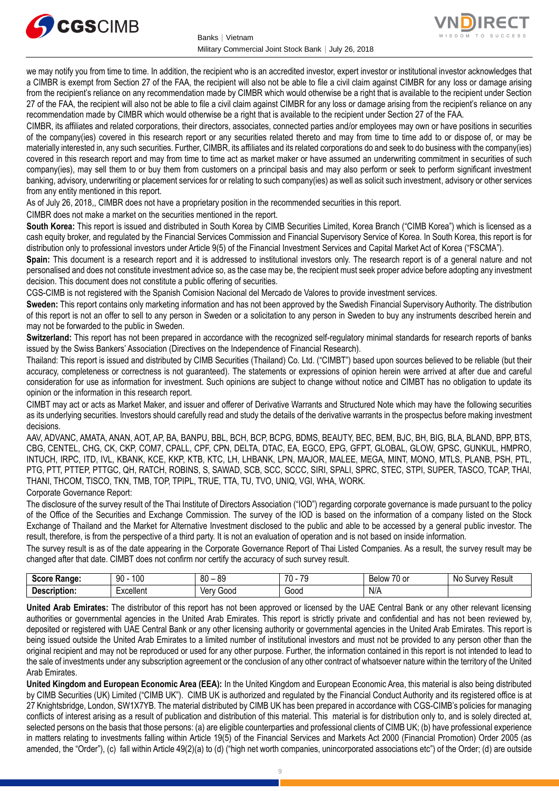



we may notify you from time to time. In addition, the recipient who is an accredited investor, expert investor or institutional investor acknowledges that a CIMBR is exempt from Section 27 of the FAA, the recipient will also not be able to file a civil claim against CIMBR for any loss or damage arising from the recipient's reliance on any recommendation made by CIMBR which would otherwise be a right that is available to the recipient under Section 27 of the FAA, the recipient will also not be able to file a civil claim against CIMBR for any loss or damage arising from the recipient's reliance on any recommendation made by CIMBR which would otherwise be a right that is available to the recipient under Section 27 of the FAA.

CIMBR, its affiliates and related corporations, their directors, associates, connected parties and/or employees may own or have positions in securities of the company(ies) covered in this research report or any securities related thereto and may from time to time add to or dispose of, or may be materially interested in, any such securities. Further, CIMBR, its affiliates and its related corporations do and seek to do business with the company(ies) covered in this research report and may from time to time act as market maker or have assumed an underwriting commitment in securities of such company(ies), may sell them to or buy them from customers on a principal basis and may also perform or seek to perform significant investment banking, advisory, underwriting or placement services for or relating to such company(ies) as well as solicit such investment, advisory or other services from any entity mentioned in this report.

As of July 26, 2018,, CIMBR does not have a proprietary position in the recommended securities in this report.

CIMBR does not make a market on the securities mentioned in the report.

**South Korea:** This report is issued and distributed in South Korea by CIMB Securities Limited, Korea Branch ("CIMB Korea") which is licensed as a cash equity broker, and regulated by the Financial Services Commission and Financial Supervisory Service of Korea. In South Korea, this report is for distribution only to professional investors under Article 9(5) of the Financial Investment Services and Capital Market Act of Korea ("FSCMA").

**Spain:** This document is a research report and it is addressed to institutional investors only. The research report is of a general nature and not personalised and does not constitute investment advice so, as the case may be, the recipient must seek proper advice before adopting any investment decision. This document does not constitute a public offering of securities.

CGS-CIMB is not registered with the Spanish Comision Nacional del Mercado de Valores to provide investment services.

**Sweden:** This report contains only marketing information and has not been approved by the Swedish Financial Supervisory Authority. The distribution of this report is not an offer to sell to any person in Sweden or a solicitation to any person in Sweden to buy any instruments described herein and may not be forwarded to the public in Sweden.

**Switzerland:** This report has not been prepared in accordance with the recognized self-regulatory minimal standards for research reports of banks issued by the Swiss Bankers' Association (Directives on the Independence of Financial Research).

Thailand: This report is issued and distributed by CIMB Securities (Thailand) Co. Ltd. ("CIMBT") based upon sources believed to be reliable (but their accuracy, completeness or correctness is not guaranteed). The statements or expressions of opinion herein were arrived at after due and careful consideration for use as information for investment. Such opinions are subject to change without notice and CIMBT has no obligation to update its opinion or the information in this research report.

CIMBT may act or acts as Market Maker, and issuer and offerer of Derivative Warrants and Structured Note which may have the following securities as its underlying securities. Investors should carefully read and study the details of the derivative warrants in the prospectus before making investment decisions.

AAV, ADVANC, AMATA, ANAN, AOT, AP, BA, BANPU, BBL, BCH, BCP, BCPG, BDMS, BEAUTY, BEC, BEM, BJC, BH, BIG, BLA, BLAND, BPP, BTS, CBG, CENTEL, CHG, CK, CKP, COM7, CPALL, CPF, CPN, DELTA, DTAC, EA, EGCO, EPG, GFPT, GLOBAL, GLOW, GPSC, GUNKUL, HMPRO, INTUCH, IRPC, ITD, IVL, KBANK, KCE, KKP, KTB, KTC, LH, LHBANK, LPN, MAJOR, MALEE, MEGA, MINT, MONO, MTLS, PLANB, PSH, PTL, PTG, PTT, PTTEP, PTTGC, QH, RATCH, ROBINS, S, SAWAD, SCB, SCC, SCCC, SIRI, SPALI, SPRC, STEC, STPI, SUPER, TASCO, TCAP, THAI, THANI, THCOM, TISCO, TKN, TMB, TOP, TPIPL, TRUE, TTA, TU, TVO, UNIQ, VGI, WHA, WORK.

#### Corporate Governance Report:

The disclosure of the survey result of the Thai Institute of Directors Association ("IOD") regarding corporate governance is made pursuant to the policy of the Office of the Securities and Exchange Commission. The survey of the IOD is based on the information of a company listed on the Stock Exchange of Thailand and the Market for Alternative Investment disclosed to the public and able to be accessed by a general public investor. The result, therefore, is from the perspective of a third party. It is not an evaluation of operation and is not based on inside information.

The survey result is as of the date appearing in the Corporate Governance Report of Thai Listed Companies. As a result, the survey result may be changed after that date. CIMBT does not confirm nor certify the accuracy of such survey result.

| score<br>mae.               | 100<br>۵O<br>IJU<br>ט ו  | 80<br>.or                 | 7٨<br>$\overline{\phantom{a}}$<br>. . | $\sim$ $\sim$<br>Below<br>∪ or | ≺esult<br>. NC<br>. יומי<br>$\mathbf{r}$<br>v<br>ור |
|-----------------------------|--------------------------|---------------------------|---------------------------------------|--------------------------------|-----------------------------------------------------|
| -<br>. Jescrintion<br>TIOI. | $\mathbf{u}$<br>xcellent | 000ز<br><b>Ver</b><br>' M | Good                                  | N/A                            |                                                     |

**United Arab Emirates:** The distributor of this report has not been approved or licensed by the UAE Central Bank or any other relevant licensing authorities or governmental agencies in the United Arab Emirates. This report is strictly private and confidential and has not been reviewed by, deposited or registered with UAE Central Bank or any other licensing authority or governmental agencies in the United Arab Emirates. This report is being issued outside the United Arab Emirates to a limited number of institutional investors and must not be provided to any person other than the original recipient and may not be reproduced or used for any other purpose. Further, the information contained in this report is not intended to lead to the sale of investments under any subscription agreement or the conclusion of any other contract of whatsoever nature within the territory of the United Arab Emirates.

**United Kingdom and European Economic Area (EEA):** In the United Kingdom and European Economic Area, this material is also being distributed by CIMB Securities (UK) Limited ("CIMB UK"). CIMB UK is authorized and regulated by the Financial Conduct Authority and its registered office is at 27 Knightsbridge, London, SW1X7YB. The material distributed by CIMB UK has been prepared in accordance with CGS-CIMB's policies for managing conflicts of interest arising as a result of publication and distribution of this material. This material is for distribution only to, and is solely directed at, selected persons on the basis that those persons: (a) are eligible counterparties and professional clients of CIMB UK; (b) have professional experience in matters relating to investments falling within Article 19(5) of the Financial Services and Markets Act 2000 (Financial Promotion) Order 2005 (as amended, the "Order"), (c) fall within Article 49(2)(a) to (d) ("high net worth companies, unincorporated associations etc") of the Order; (d) are outside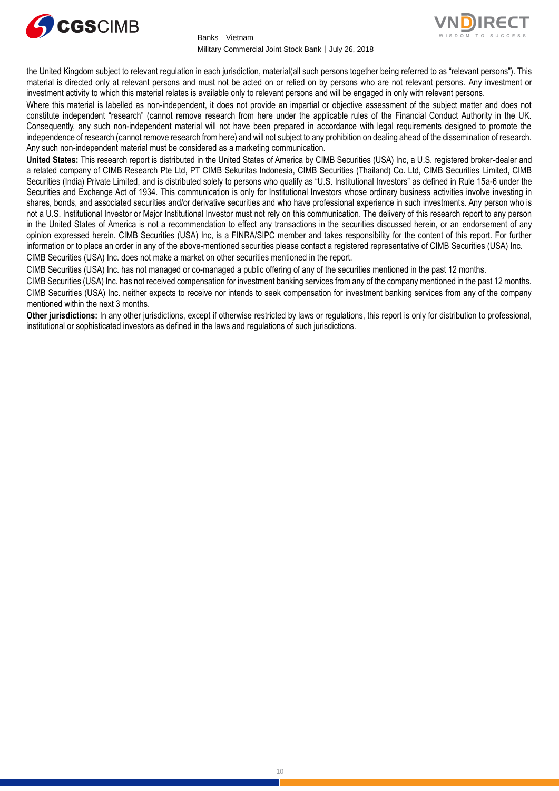



the United Kingdom subject to relevant regulation in each jurisdiction, material(all such persons together being referred to as "relevant persons"). This material is directed only at relevant persons and must not be acted on or relied on by persons who are not relevant persons. Any investment or investment activity to which this material relates is available only to relevant persons and will be engaged in only with relevant persons.

Where this material is labelled as non-independent, it does not provide an impartial or objective assessment of the subject matter and does not constitute independent "research" (cannot remove research from here under the applicable rules of the Financial Conduct Authority in the UK. Consequently, any such non-independent material will not have been prepared in accordance with legal requirements designed to promote the independence of research (cannot remove research from here) and will not subject to any prohibition on dealing ahead of the dissemination of research. Any such non-independent material must be considered as a marketing communication.

**United States:** This research report is distributed in the United States of America by CIMB Securities (USA) Inc, a U.S. registered broker-dealer and a related company of CIMB Research Pte Ltd, PT CIMB Sekuritas Indonesia, CIMB Securities (Thailand) Co. Ltd, CIMB Securities Limited, CIMB Securities (India) Private Limited, and is distributed solely to persons who qualify as "U.S. Institutional Investors" as defined in Rule 15a-6 under the Securities and Exchange Act of 1934. This communication is only for Institutional Investors whose ordinary business activities involve investing in shares, bonds, and associated securities and/or derivative securities and who have professional experience in such investments. Any person who is not a U.S. Institutional Investor or Major Institutional Investor must not rely on this communication. The delivery of this research report to any person in the United States of America is not a recommendation to effect any transactions in the securities discussed herein, or an endorsement of any opinion expressed herein. CIMB Securities (USA) Inc, is a FINRA/SIPC member and takes responsibility for the content of this report. For further information or to place an order in any of the above-mentioned securities please contact a registered representative of CIMB Securities (USA) Inc. CIMB Securities (USA) Inc. does not make a market on other securities mentioned in the report.

CIMB Securities (USA) Inc. has not managed or co-managed a public offering of any of the securities mentioned in the past 12 months.

CIMB Securities (USA) Inc. has not received compensation for investment banking services from any of the company mentioned in the past 12 months. CIMB Securities (USA) Inc. neither expects to receive nor intends to seek compensation for investment banking services from any of the company mentioned within the next 3 months.

**Other jurisdictions:** In any other jurisdictions, except if otherwise restricted by laws or regulations, this report is only for distribution to professional, institutional or sophisticated investors as defined in the laws and regulations of such jurisdictions.